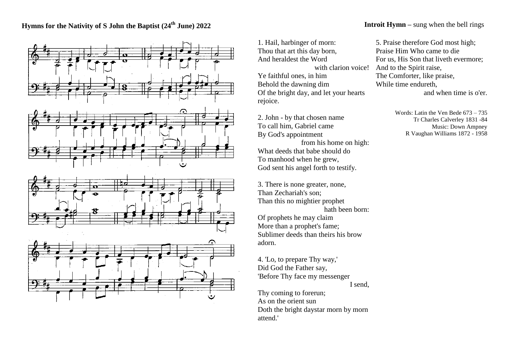## **Hymns for the Nativity of S John the Baptist (24 th June) 2022**



1. Hail, harbinger of morn: Thou that art this day born, And heraldest the Word Ye faithful ones, in him Behold the dawning dim Of the bright day, and let your hearts rejoice.

2. John - by that chosen name To call him, Gabriel came By God's appointment from his home on high: What deeds that babe should do To manhood when he grew, God sent his angel forth to testify.

3. There is none greater, none, Than Zechariah's son; Than this no mightier prophet hath been born: Of prophets he may claim More than a prophet's fame; Sublimer deeds than theirs his brow adorn.

4. 'Lo, to prepare Thy way,' Did God the Father say, 'Before Thy face my messenger I send,

Thy coming to forerun; As on the orient sun Doth the bright daystar morn by morn attend.'

## **Introit Hymn** – sung when the bell rings

with clarion voice! And to the Spirit raise, 5. Praise therefore God most high; Praise Him Who came to die For us, His Son that liveth evermore; The Comforter, like praise, While time endureth,

and when time is o'er.

Words: Latin the Ven Bede 673 – 735 Tr Charles Calverley 1831 -84 Music: Down Ampney R Vaughan Williams 1872 - 1958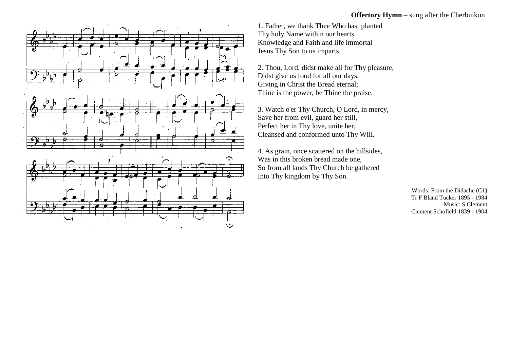## **Offertory Hymn** – sung after the Cherbuikon



2. Thou, Lord, didst make all for Thy pleasure, Didst give us food for all our days, Giving in Christ the Bread eternal; Thine is the power, be Thine the praise.

3. Watch o'er Thy Church, O Lord, in mercy, Save her from evil, guard her still, Perfect her in Thy love, unite her, Cleansed and conformed unto Thy Will.

4. As grain, once scattered on the hillsides, Was in this broken bread made one, So from all lands Thy Church be gathered Into Thy kingdom by Thy Son.

> Words: From the Didache (C1) Tr F Bland Tucker 1895 - 1984 Music: S Clement Clement Schofield 1839 - 1904

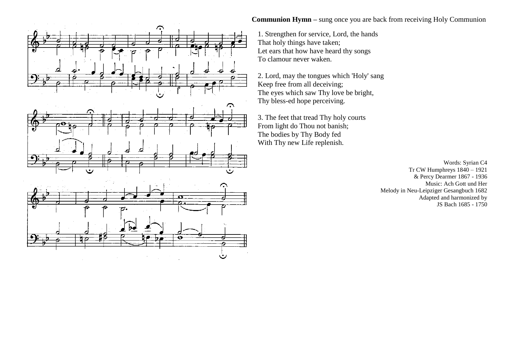

## **Communion Hymn** – sung once you are back from receiving Holy Communion

1. Strengthen for service, Lord, the hands That holy things have taken; Let ears that how have heard thy songs To clamour never waken.

2. Lord, may the tongues which 'Holy' sang Keep free from all deceiving; The eyes which saw Thy love be bright, Thy bless-ed hope perceiving.

3. The feet that tread Thy holy courts From light do Thou not banish; The bodies by Thy Body fed With Thy new Life replenish.

> Words: Syrian C4 Tr CW Humphreys 1840 – 1921 & Percy Dearmer 1867 - 1936 Music: Ach Gott und Her Melody in Neu-Leipziger Gesangbuch 1682 Adapted and harmonized by JS Bach 1685 - 1750